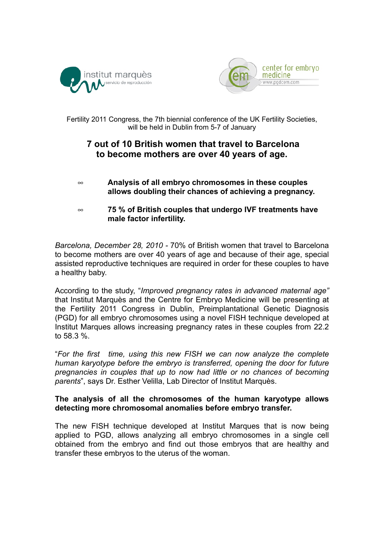



Fertility 2011 Congress, the 7th biennial conference of the UK Fertility Societies, will be held in Dublin from 5-7 of January

## **7 out of 10 British women that travel to Barcelona to become mothers are over 40 years of age.**

- **Analysis of all embryo chromosomes in these couples allows doubling their chances of achieving a pregnancy.**
- **75 % of British couples that undergo IVF treatments have male factor infertility.**

*Barcelona, December 28, 2010 -* 70% of British women that travel to Barcelona to become mothers are over 40 years of age and because of their age, special assisted reproductive techniques are required in order for these couples to have a healthy baby.

According to the study, "*Improved pregnancy rates in advanced maternal age"* that Institut Marquès and the Centre for Embryo Medicine will be presenting at the Fertility 2011 Congress in Dublin, Preimplantational Genetic Diagnosis (PGD) for all embryo chromosomes using a novel FISH technique developed at Institut Marques allows increasing pregnancy rates in these couples from 22.2 to 58.3 %.

"*For the first time, using this new FISH we can now analyze the complete human karyotype before the embryo is transferred, opening the door for future pregnancies in couples that up to now had little or no chances of becoming parents*", says Dr. Esther Velilla, Lab Director of Institut Marquès.

## **The analysis of all the chromosomes of the human karyotype allows detecting more chromosomal anomalies before embryo transfer.**

The new FISH technique developed at Institut Marques that is now being applied to PGD, allows analyzing all embryo chromosomes in a single cell obtained from the embryo and find out those embryos that are healthy and transfer these embryos to the uterus of the woman.